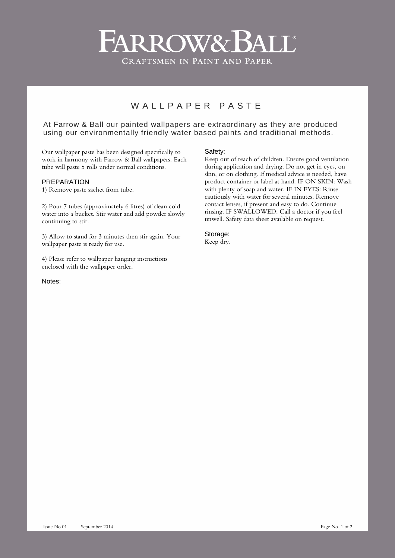# ARROW& BALL® **CRAFTSMEN IN PAINT AND PAPER**

# W ALL P A P F R P A S T F

## At Farrow & Ball our painted wallpapers are extraordinary as they are produced using our environmentally friendly water based paints and traditional methods.

Our wallpaper paste has been designed specifically to work in harmony with Farrow & Ball wallpapers. Each tube will paste 5 rolls under normal conditions.

### PREPARATION

1) Remove paste sachet from tube.

2) Pour 7 tubes (approximately 6 litres) of clean cold water into a bucket. Stir water and add powder slowly continuing to stir.

3) Allow to stand for 3 minutes then stir again. Your wallpaper paste is ready for use.

4) Please refer to wallpaper hanging instructions enclosed with the wallpaper order.

Notes:

#### Safety:

Keep out of reach of children. Ensure good ventilation during application and drying. Do not get in eyes, on skin, or on clothing. If medical advice is needed, have product container or label at hand. IF ON SKIN: Wash with plenty of soap and water. IF IN EYES: Rinse cautiously with water for several minutes. Remove contact lenses, if present and easy to do. Continue rinsing. IF SWALLOWED: Call a doctor if you feel unwell. Safety data sheet available on request.

Storage: Keep dry.